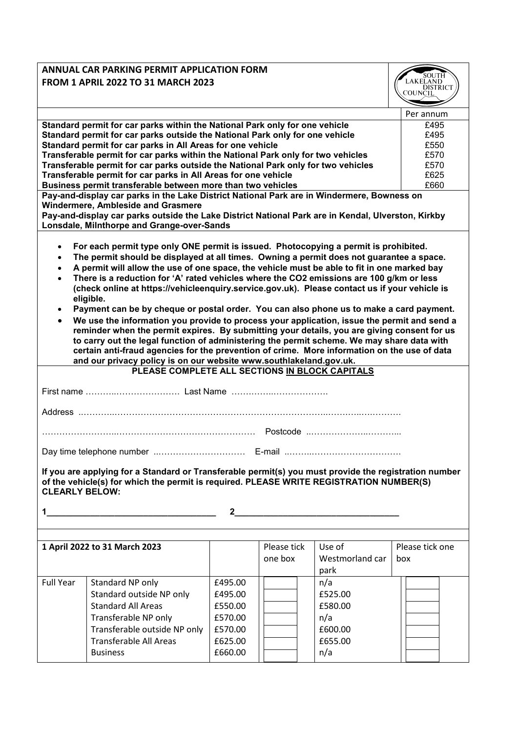| <b>ANNUAL CAR PARKING PERMIT APPLICATION FORM</b>                                                                                             |                                                                                                                      |         |             |                      |                 |  |  |
|-----------------------------------------------------------------------------------------------------------------------------------------------|----------------------------------------------------------------------------------------------------------------------|---------|-------------|----------------------|-----------------|--|--|
| <b>FROM 1 APRIL 2022 TO 31 MARCH 2023</b>                                                                                                     | SOUTH<br><b>LAKELAND</b><br><b>DISTRICT</b>                                                                          |         |             |                      |                 |  |  |
|                                                                                                                                               |                                                                                                                      | COUNCIL |             |                      |                 |  |  |
|                                                                                                                                               |                                                                                                                      |         |             |                      |                 |  |  |
| Standard permit for car parks within the National Park only for one vehicle                                                                   | Per annum<br>£495                                                                                                    |         |             |                      |                 |  |  |
|                                                                                                                                               | Standard permit for car parks outside the National Park only for one vehicle                                         | £495    |             |                      |                 |  |  |
|                                                                                                                                               | Standard permit for car parks in All Areas for one vehicle                                                           |         |             |                      | £550            |  |  |
| Transferable permit for car parks within the National Park only for two vehicles<br>£570                                                      |                                                                                                                      |         |             |                      |                 |  |  |
|                                                                                                                                               | Transferable permit for car parks outside the National Park only for two vehicles<br>£570                            |         |             |                      |                 |  |  |
| £625<br>Transferable permit for car parks in All Areas for one vehicle<br>£660<br>Business permit transferable between more than two vehicles |                                                                                                                      |         |             |                      |                 |  |  |
|                                                                                                                                               | Pay-and-display car parks in the Lake District National Park are in Windermere, Bowness on                           |         |             |                      |                 |  |  |
|                                                                                                                                               | <b>Windermere, Ambleside and Grasmere</b>                                                                            |         |             |                      |                 |  |  |
|                                                                                                                                               | Pay-and-display car parks outside the Lake District National Park are in Kendal, Ulverston, Kirkby                   |         |             |                      |                 |  |  |
|                                                                                                                                               | Lonsdale, Milnthorpe and Grange-over-Sands                                                                           |         |             |                      |                 |  |  |
| $\bullet$                                                                                                                                     | For each permit type only ONE permit is issued. Photocopying a permit is prohibited.                                 |         |             |                      |                 |  |  |
| $\bullet$                                                                                                                                     | The permit should be displayed at all times. Owning a permit does not guarantee a space.                             |         |             |                      |                 |  |  |
| $\bullet$                                                                                                                                     | A permit will allow the use of one space, the vehicle must be able to fit in one marked bay                          |         |             |                      |                 |  |  |
|                                                                                                                                               | There is a reduction for 'A' rated vehicles where the CO2 emissions are 100 g/km or less                             |         |             |                      |                 |  |  |
|                                                                                                                                               | (check online at https://vehicleenquiry.service.gov.uk). Please contact us if your vehicle is                        |         |             |                      |                 |  |  |
| eligible.<br>Payment can be by cheque or postal order. You can also phone us to make a card payment.                                          |                                                                                                                      |         |             |                      |                 |  |  |
| $\bullet$                                                                                                                                     | We use the information you provide to process your application, issue the permit and send a                          |         |             |                      |                 |  |  |
|                                                                                                                                               | reminder when the permit expires. By submitting your details, you are giving consent for us                          |         |             |                      |                 |  |  |
|                                                                                                                                               | to carry out the legal function of administering the permit scheme. We may share data with                           |         |             |                      |                 |  |  |
|                                                                                                                                               | certain anti-fraud agencies for the prevention of crime. More information on the use of data                         |         |             |                      |                 |  |  |
|                                                                                                                                               | and our privacy policy is on our website www.southlakeland.gov.uk.                                                   |         |             |                      |                 |  |  |
|                                                                                                                                               | PLEASE COMPLETE ALL SECTIONS IN BLOCK CAPITALS                                                                       |         |             |                      |                 |  |  |
|                                                                                                                                               |                                                                                                                      |         |             |                      |                 |  |  |
|                                                                                                                                               |                                                                                                                      |         |             |                      |                 |  |  |
|                                                                                                                                               |                                                                                                                      |         |             |                      |                 |  |  |
|                                                                                                                                               |                                                                                                                      |         |             |                      |                 |  |  |
|                                                                                                                                               |                                                                                                                      |         |             |                      |                 |  |  |
|                                                                                                                                               |                                                                                                                      |         |             |                      |                 |  |  |
|                                                                                                                                               |                                                                                                                      |         |             |                      |                 |  |  |
|                                                                                                                                               | If you are applying for a Standard or Transferable permit(s) you must provide the registration number                |         |             |                      |                 |  |  |
| <b>CLEARLY BELOW:</b>                                                                                                                         | of the vehicle(s) for which the permit is required. PLEASE WRITE REGISTRATION NUMBER(S)                              |         |             |                      |                 |  |  |
|                                                                                                                                               |                                                                                                                      |         |             |                      |                 |  |  |
| $1 \quad$                                                                                                                                     | <u> 1989 - Johann John Stone, markin film yn y brenin y brenin y brenin y brenin y brenin y brenin y brenin y br</u> |         |             | $\frac{2}{\sqrt{2}}$ |                 |  |  |
|                                                                                                                                               |                                                                                                                      |         |             |                      |                 |  |  |
|                                                                                                                                               |                                                                                                                      |         |             |                      |                 |  |  |
| 1 April 2022 to 31 March 2023                                                                                                                 |                                                                                                                      |         | Please tick | Use of               | Please tick one |  |  |
|                                                                                                                                               |                                                                                                                      |         | one box     | Westmorland car      | box             |  |  |
|                                                                                                                                               |                                                                                                                      |         |             | park                 |                 |  |  |
| <b>Full Year</b>                                                                                                                              | Standard NP only                                                                                                     | £495.00 |             | n/a                  |                 |  |  |
|                                                                                                                                               | Standard outside NP only                                                                                             | £495.00 |             | £525.00              |                 |  |  |
|                                                                                                                                               | <b>Standard All Areas</b>                                                                                            | £550.00 |             | £580.00              |                 |  |  |
|                                                                                                                                               | Transferable NP only                                                                                                 | £570.00 |             | n/a                  |                 |  |  |
|                                                                                                                                               | Transferable outside NP only                                                                                         | £570.00 |             | £600.00              |                 |  |  |
|                                                                                                                                               | <b>Transferable All Areas</b>                                                                                        | £625.00 |             | £655.00              |                 |  |  |
|                                                                                                                                               | <b>Business</b>                                                                                                      | £660.00 |             | n/a                  |                 |  |  |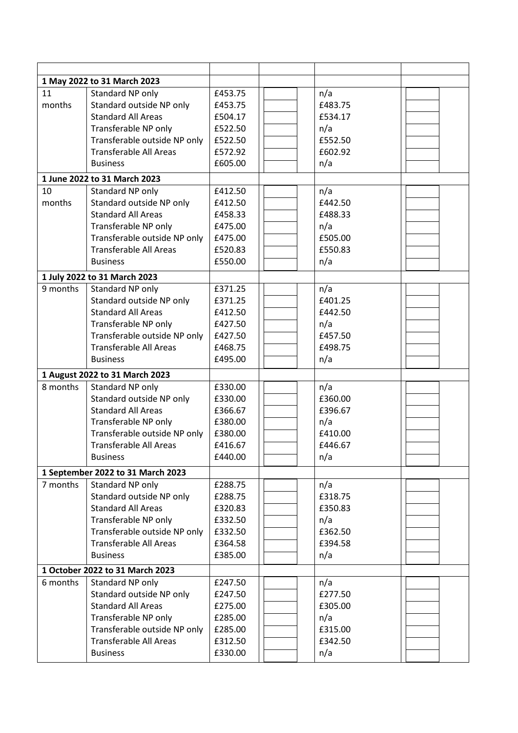| 1 May 2022 to 31 March 2023     |                                   |         |         |  |
|---------------------------------|-----------------------------------|---------|---------|--|
| 11                              | Standard NP only                  | £453.75 | n/a     |  |
| months                          | Standard outside NP only          | £453.75 | £483.75 |  |
|                                 | <b>Standard All Areas</b>         | £504.17 | £534.17 |  |
|                                 | Transferable NP only              | £522.50 | n/a     |  |
|                                 | Transferable outside NP only      | £522.50 | £552.50 |  |
|                                 | <b>Transferable All Areas</b>     | £572.92 | £602.92 |  |
|                                 | <b>Business</b>                   | £605.00 | n/a     |  |
|                                 | 1 June 2022 to 31 March 2023      |         |         |  |
| 10                              | Standard NP only                  | £412.50 | n/a     |  |
| months                          | Standard outside NP only          | £412.50 | £442.50 |  |
|                                 | <b>Standard All Areas</b>         | £458.33 | £488.33 |  |
|                                 | Transferable NP only              | £475.00 | n/a     |  |
|                                 | Transferable outside NP only      | £475.00 | £505.00 |  |
|                                 | <b>Transferable All Areas</b>     | £520.83 | £550.83 |  |
|                                 | <b>Business</b>                   | £550.00 | n/a     |  |
|                                 | 1 July 2022 to 31 March 2023      |         |         |  |
| 9 months                        | Standard NP only                  | £371.25 | n/a     |  |
|                                 | Standard outside NP only          | £371.25 | £401.25 |  |
|                                 | <b>Standard All Areas</b>         | £412.50 | £442.50 |  |
|                                 |                                   |         |         |  |
|                                 | Transferable NP only              | £427.50 | n/a     |  |
|                                 | Transferable outside NP only      | £427.50 | £457.50 |  |
|                                 | <b>Transferable All Areas</b>     | £468.75 | £498.75 |  |
|                                 | <b>Business</b>                   | £495.00 | n/a     |  |
|                                 | 1 August 2022 to 31 March 2023    |         |         |  |
| 8 months                        | Standard NP only                  | £330.00 | n/a     |  |
|                                 | Standard outside NP only          | £330.00 | £360.00 |  |
|                                 | <b>Standard All Areas</b>         | £366.67 | £396.67 |  |
|                                 | Transferable NP only              | £380.00 | n/a     |  |
|                                 | Transferable outside NP only      | £380.00 | £410.00 |  |
|                                 | <b>Transferable All Areas</b>     | £416.67 | £446.67 |  |
|                                 | <b>Business</b>                   | £440.00 | n/a     |  |
|                                 | 1 September 2022 to 31 March 2023 |         |         |  |
| 7 months                        | Standard NP only                  | £288.75 | n/a     |  |
|                                 | Standard outside NP only          | £288.75 | £318.75 |  |
|                                 | <b>Standard All Areas</b>         | £320.83 | £350.83 |  |
|                                 | Transferable NP only              | £332.50 | n/a     |  |
|                                 | Transferable outside NP only      | £332.50 | £362.50 |  |
|                                 | <b>Transferable All Areas</b>     | £364.58 | £394.58 |  |
|                                 | <b>Business</b>                   | £385.00 | n/a     |  |
|                                 |                                   |         |         |  |
| 1 October 2022 to 31 March 2023 |                                   |         |         |  |
| 6 months                        | Standard NP only                  | £247.50 | n/a     |  |
|                                 | Standard outside NP only          | £247.50 | £277.50 |  |
|                                 | <b>Standard All Areas</b>         | £275.00 | £305.00 |  |
|                                 | Transferable NP only              | £285.00 | n/a     |  |
|                                 | Transferable outside NP only      | £285.00 | £315.00 |  |
|                                 | <b>Transferable All Areas</b>     | £312.50 | £342.50 |  |
|                                 | <b>Business</b>                   | £330.00 | n/a     |  |